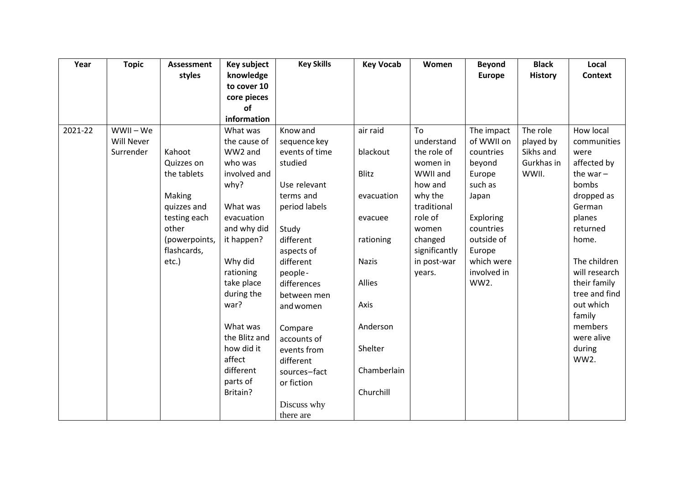| Year    | <b>Topic</b> | <b>Assessment</b> | Key subject   | <b>Key Skills</b> | <b>Key Vocab</b> | Women         | <b>Beyond</b> | <b>Black</b>   | Local          |
|---------|--------------|-------------------|---------------|-------------------|------------------|---------------|---------------|----------------|----------------|
|         |              | styles            | knowledge     |                   |                  |               | <b>Europe</b> | <b>History</b> | <b>Context</b> |
|         |              |                   | to cover 10   |                   |                  |               |               |                |                |
|         |              |                   | core pieces   |                   |                  |               |               |                |                |
|         |              |                   | <b>of</b>     |                   |                  |               |               |                |                |
|         |              |                   | information   |                   |                  |               |               |                |                |
| 2021-22 | WWII - We    |                   | What was      | Know and          | air raid         | To            | The impact    | The role       | How local      |
|         | Will Never   |                   | the cause of  | sequence key      |                  | understand    | of WWII on    | played by      | communities    |
|         | Surrender    | Kahoot            | WW2 and       | events of time    | blackout         | the role of   | countries     | Sikhs and      | were           |
|         |              | Quizzes on        | who was       | studied           |                  | women in      | beyond        | Gurkhas in     | affected by    |
|         |              | the tablets       | involved and  |                   | <b>Blitz</b>     | WWII and      | Europe        | WWII.          | the war $-$    |
|         |              |                   | why?          | Use relevant      |                  | how and       | such as       |                | bombs          |
|         |              | Making            |               | terms and         | evacuation       | why the       | Japan         |                | dropped as     |
|         |              | quizzes and       | What was      | period labels     |                  | traditional   |               |                | German         |
|         |              | testing each      | evacuation    |                   | evacuee          | role of       | Exploring     |                | planes         |
|         |              | other             | and why did   | Study             |                  | women         | countries     |                | returned       |
|         |              | (powerpoints,     | it happen?    | different         | rationing        | changed       | outside of    |                | home.          |
|         |              | flashcards,       |               | aspects of        |                  | significantly | Europe        |                |                |
|         |              | etc.)             | Why did       | different         | <b>Nazis</b>     | in post-war   | which were    |                | The children   |
|         |              |                   | rationing     | people-           |                  | years.        | involved in   |                | will research  |
|         |              |                   | take place    | differences       | Allies           |               | WW2.          |                | their family   |
|         |              |                   | during the    | between men       |                  |               |               |                | tree and find  |
|         |              |                   | war?          | and women         | Axis             |               |               |                | out which      |
|         |              |                   |               |                   |                  |               |               |                | family         |
|         |              |                   | What was      | Compare           | Anderson         |               |               |                | members        |
|         |              |                   | the Blitz and | accounts of       |                  |               |               |                | were alive     |
|         |              |                   | how did it    | events from       | Shelter          |               |               |                | during         |
|         |              |                   | affect        | different         |                  |               |               |                | <b>WW2.</b>    |
|         |              |                   | different     | sources-fact      | Chamberlain      |               |               |                |                |
|         |              |                   | parts of      | or fiction        |                  |               |               |                |                |
|         |              |                   | Britain?      |                   | Churchill        |               |               |                |                |
|         |              |                   |               | Discuss why       |                  |               |               |                |                |
|         |              |                   |               | there are         |                  |               |               |                |                |